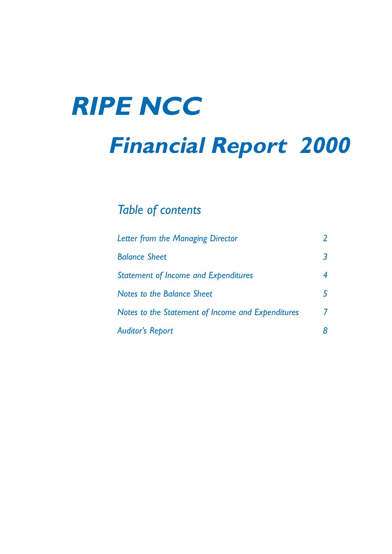# **RIPE NCC**

## **Financial Report 2000**

### *Table of contents*

| Letter from the Managing Director                 |   |
|---------------------------------------------------|---|
| <b>Balance Sheet</b>                              | 3 |
| <b>Statement of Income and Expenditures</b>       | 4 |
| Notes to the Balance Sheet                        | 5 |
| Notes to the Statement of Income and Expenditures | 7 |
| <b>Auditor's Report</b>                           |   |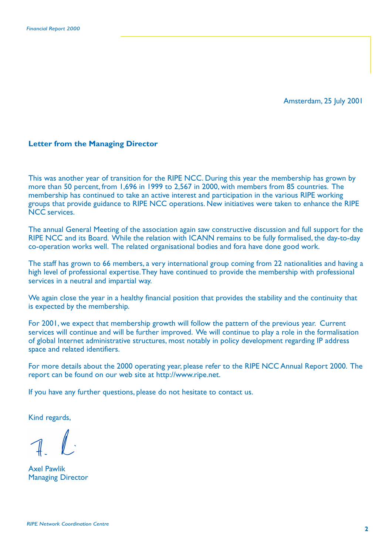Amsterdam, 25 July 2001

#### **Letter from the Managing Director**

This was another year of transition for the RIPE NCC. During this year the membership has grown by more than 50 percent, from 1,696 in 1999 to 2,567 in 2000, with members from 85 countries. The membership has continued to take an active interest and participation in the various RIPE working groups that provide guidance to RIPE NCC operations. New initiatives were taken to enhance the RIPE NCC services.

The annual General Meeting of the association again saw constructive discussion and full support for the RIPE NCC and its Board. While the relation with ICANN remains to be fully formalised, the day-to-day co-operation works well. The related organisational bodies and fora have done good work.

The staff has grown to 66 members, a very international group coming from 22 nationalities and having a high level of professional expertise. They have continued to provide the membership with professional services in a neutral and impartial way.

We again close the year in a healthy financial position that provides the stability and the continuity that is expected by the membership.

For 2001, we expect that membership growth will follow the pattern of the previous year. Current services will continue and will be further improved. We will continue to play a role in the formalisation of global Internet administrative structures, most notably in policy development regarding IP address space and related identifiers.

For more details about the 2000 operating year, please refer to the RIPE NCC Annual Report 2000. The report can be found on our web site at http://www.ripe.net.

If you have any further questions, please do not hesitate to contact us.

Kind regards,

Axel Pawlik Managing Director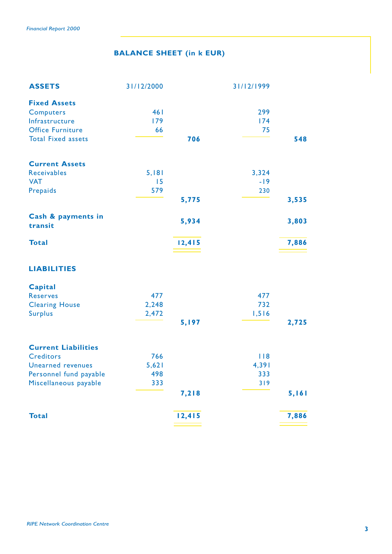#### **BALANCE SHEET (in k EUR)**

| <b>ASSETS</b>                 | 31/12/2000 |        | 31/12/1999 |       |
|-------------------------------|------------|--------|------------|-------|
| <b>Fixed Assets</b>           |            |        |            |       |
| <b>Computers</b>              | 461        |        | 299        |       |
| Infrastructure                | 179        |        | 174        |       |
| <b>Office Furniture</b>       | 66         |        | 75         |       |
| <b>Total Fixed assets</b>     |            | 706    |            | 548   |
| <b>Current Assets</b>         |            |        |            |       |
| Receivables                   | 5,181      |        | 3,324      |       |
| <b>VAT</b>                    | 15         |        | $-19$      |       |
| Prepaids                      | 579        |        | 230        |       |
|                               |            | 5,775  |            | 3,535 |
| Cash & payments in<br>transit |            | 5,934  |            | 3,803 |
| <b>Total</b>                  |            | 12,415 |            | 7,886 |
| <b>LIABILITIES</b>            |            |        |            |       |
| Capital                       |            |        |            |       |
| <b>Reserves</b>               | 477        |        | 477        |       |
| <b>Clearing House</b>         | 2,248      |        | 732        |       |
| <b>Surplus</b>                | 2,472      |        | 1,516      |       |
|                               |            | 5,197  |            | 2,725 |
| <b>Current Liabilities</b>    |            |        |            |       |
| <b>Creditors</b>              | 766        |        | 118        |       |
| <b>Unearned revenues</b>      | 5,621      |        | 4,391      |       |
| Personnel fund payable        | 498        |        | 333        |       |
| Miscellaneous payable         | 333        |        | 319        |       |
|                               |            | 7,218  |            | 5,161 |
| <b>Total</b>                  |            | 12,415 |            | 7,886 |
|                               |            |        |            |       |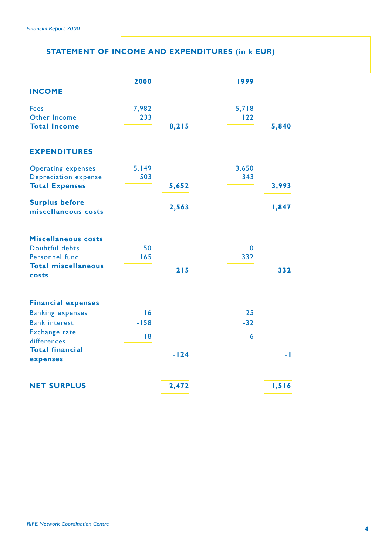#### **STATEMENT OF INCOME AND EXPENDITURES (in k EUR)**

|                                                      | 2000   |        | 1999        |                |
|------------------------------------------------------|--------|--------|-------------|----------------|
| <b>INCOME</b>                                        |        |        |             |                |
| <b>Fees</b>                                          | 7,982  |        | 5,718       |                |
| Other Income                                         | 233    |        | 122         |                |
| <b>Total Income</b>                                  |        | 8,215  |             | 5,840          |
| <b>EXPENDITURES</b>                                  |        |        |             |                |
| <b>Operating expenses</b>                            | 5,149  |        | 3,650       |                |
| <b>Depreciation expense</b><br><b>Total Expenses</b> | 503    | 5,652  | 343         | 3,993          |
|                                                      |        |        |             |                |
| <b>Surplus before</b><br>miscellaneous costs         |        | 2,563  |             | 1,847          |
| <b>Miscellaneous costs</b>                           |        |        |             |                |
| Doubtful debts                                       | 50     |        | $\mathbf 0$ |                |
| Personnel fund                                       | 165    |        | 332         |                |
| <b>Total miscellaneous</b><br>costs                  |        | 215    |             | 332            |
| <b>Financial expenses</b>                            |        |        |             |                |
| <b>Banking expenses</b>                              | 16     |        | 25          |                |
| <b>Bank interest</b>                                 | $-158$ |        | $-32$       |                |
| Exchange rate                                        | 8      |        | 6           |                |
| differences<br><b>Total financial</b>                |        |        |             |                |
| expenses                                             |        | $-124$ |             | $\blacksquare$ |
| <b>NET SURPLUS</b>                                   |        | 2,472  |             | 1,516          |
|                                                      |        |        |             |                |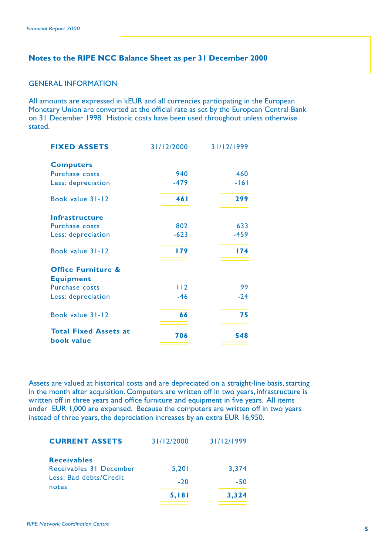#### **Notes to the RIPE NCC Balance Sheet as per 31 December 2000**

#### GENERAL INFORMATION

All amounts are expressed in kEUR and all currencies participating in the European Monetary Union are converted at the official rate as set by the European Central Bank on 31 December 1998. Historic costs have been used throughout unless otherwise stated.

| <b>FIXED ASSETS</b>                        | 31/12/2000 | 31/12/1999 |
|--------------------------------------------|------------|------------|
| <b>Computers</b>                           |            |            |
| Purchase costs                             | 940        | 460        |
| Less: depreciation                         | $-479$     | $-161$     |
| Book value 31-12                           | 461        | 299        |
| <b>Infrastructure</b>                      |            |            |
| <b>Purchase costs</b>                      | 802        | 633        |
| Less: depreciation                         | $-623$     | $-459$     |
| Book value 31-12                           | 179        | 174        |
| <b>Office Furniture &amp;</b>              |            |            |
| <b>Equipment</b>                           |            |            |
| <b>Purchase costs</b>                      | 112        | 99         |
| Less: depreciation                         | $-46$      | $-24$      |
| Book value 31-12                           | 66         | 75         |
| <b>Total Fixed Assets at</b><br>book value | 706        | 548        |

Assets are valued at historical costs and are depreciated on a straight-line basis, starting in the month after acquisition. Computers are written off in two years, infrastructure is written off in three years and office furniture and equipment in five years. All items under EUR 1,000 are expensed. Because the computers are written off in two years instead of three years, the depreciation increases by an extra EUR 16,950.

| 31/12/2000 | 31/12/1999 |
|------------|------------|
|            |            |
|            | 3.374      |
| $-20$      | -50        |
| 5,181      | 3.324      |
|            | 5,201      |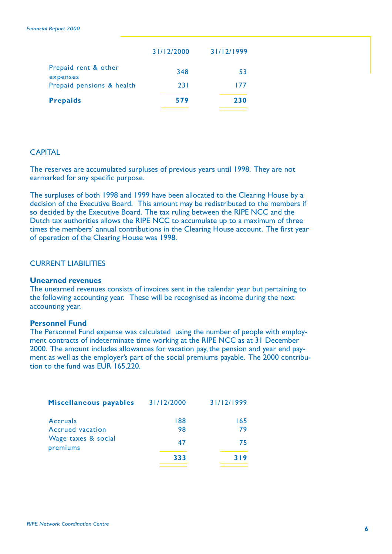| 31/12/2000 | 31/12/1999 |
|------------|------------|
| 348        | 53         |
| 231        | 177        |
| 579        | 230        |
|            |            |

#### **CAPITAL**

The reserves are accumulated surpluses of previous years until 1998. They are not earmarked for any specific purpose.

The surpluses of both 1998 and 1999 have been allocated to the Clearing House by a decision of the Executive Board. This amount may be redistributed to the members if so decided by the Executive Board. The tax ruling between the RIPE NCC and the Dutch tax authorities allows the RIPE NCC to accumulate up to a maximum of three times the members' annual contributions in the Clearing House account. The first year of operation of the Clearing House was 1998.

#### CURRENT LIABILITIES

#### **Unearned revenues**

The unearned revenues consists of invoices sent in the calendar year but pertaining to the following accounting year. These will be recognised as income during the next accounting year.

#### **Personnel Fund**

The Personnel Fund expense was calculated using the number of people with employment contracts of indeterminate time working at the RIPE NCC as at 31 December 2000. The amount includes allowances for vacation pay, the pension and year end payment as well as the employer's part of the social premiums payable. The 2000 contribution to the fund was  $FUR$  165,220.

| Miscellaneous payables | 31/12/2000 | 31/12/1999 |
|------------------------|------------|------------|
| <b>Accruals</b>        | 188        | 165        |
| Accrued vacation       | 98         | 79         |
| Wage taxes & social    | 47         | 75         |
| premiums               | 333        | 319        |
|                        |            |            |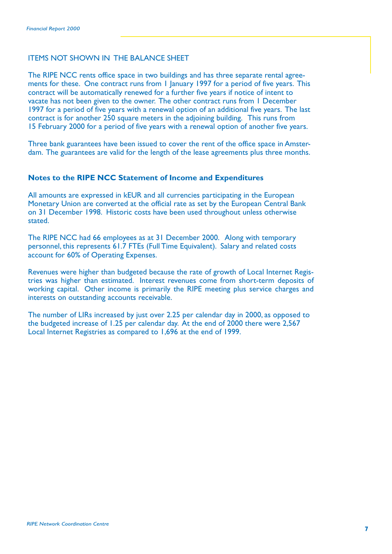#### ITEMS NOT SHOWN IN THE BALANCE SHEET

The RIPE NCC rents office space in two buildings and has three separate rental agreements for these. One contract runs from 1 January 1997 for a period of five years. This contract will be automatically renewed for a further five years if notice of intent to vacate has not been given to the owner. The other contract runs from 1 December 1997 for a period of five years with a renewal option of an additional five years. The last contract is for another 250 square meters in the adjoining building. This runs from 15 February 2000 for a period of five years with a renewal option of another five years.

Three bank guarantees have been issued to cover the rent of the office space in Amsterdam. The guarantees are valid for the length of the lease agreements plus three months.

#### **Notes to the RIPE NCC Statement of Income and Expenditures**

All amounts are expressed in kEUR and all currencies participating in the European Monetary Union are converted at the official rate as set by the European Central Bank on 31 December 1998. Historic costs have been used throughout unless otherwise stated.

The RIPE NCC had 66 employees as at 31 December 2000. Along with temporary personnel, this represents 61.7 FTEs (Full Time Equivalent). Salary and related costs account for 60% of Operating Expenses.

Revenues were higher than budgeted because the rate of growth of Local Internet Registries was higher than estimated. Interest revenues come from short-term deposits of working capital. Other income is primarily the RIPE meeting plus service charges and interests on outstanding accounts receivable.

The number of LIRs increased by just over 2.25 per calendar day in 2000, as opposed to the budgeted increase of 1.25 per calendar day. At the end of 2000 there were 2,567 Local Internet Registries as compared to 1,696 at the end of 1999.